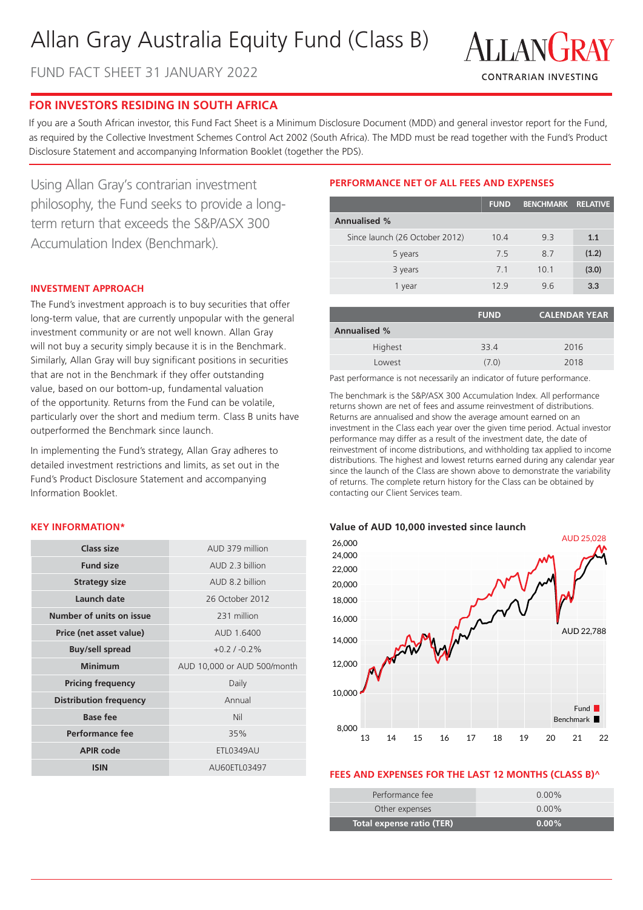# Allan Gray Australia Equity Fund (Class B)

FUND FACT SHEET 31 JANUARY 2022



# **FOR INVESTORS RESIDING IN SOUTH AFRICA**

If you are a South African investor, this Fund Fact Sheet is a Minimum Disclosure Document (MDD) and general investor report for the Fund, as required by the Collective Investment Schemes Control Act 2002 (South Africa). The MDD must be read together with the Fund's Product Disclosure Statement and accompanying Information Booklet (together the PDS).

Using Allan Gray's contrarian investment philosophy, the Fund seeks to provide a longterm return that exceeds the S&P/ASX 300 Accumulation Index (Benchmark).

## **INVESTMENT APPROACH**

The Fund's investment approach is to buy securities that offer long-term value, that are currently unpopular with the general investment community or are not well known. Allan Gray will not buy a security simply because it is in the Benchmark. Similarly, Allan Gray will buy significant positions in securities that are not in the Benchmark if they offer outstanding value, based on our bottom-up, fundamental valuation of the opportunity. Returns from the Fund can be volatile, particularly over the short and medium term. Class B units have outperformed the Benchmark since launch.

In implementing the Fund's strategy, Allan Gray adheres to detailed investment restrictions and limits, as set out in the Fund's Product Disclosure Statement and accompanying Information Booklet.

#### **KEY INFORMATION\***

| Class size                    | AUD 379 million             |  |
|-------------------------------|-----------------------------|--|
| <b>Fund size</b>              | AUD 2 3 billion             |  |
| <b>Strategy size</b>          | AUD 8.2 billion             |  |
| Launch date                   | 26 October 2012             |  |
| Number of units on issue      | 231 million                 |  |
| Price (net asset value)       | AUD 1.6400                  |  |
| <b>Buy/sell spread</b>        | $+0.2/ -0.2\%$              |  |
| <b>Minimum</b>                | AUD 10,000 or AUD 500/month |  |
| <b>Pricing frequency</b>      | Daily                       |  |
| <b>Distribution frequency</b> | Annual                      |  |
| <b>Base fee</b>               | Nil                         |  |
| Performance fee               | 35%                         |  |
| <b>APIR code</b>              | <b>ETL0349AU</b>            |  |
| <b>ISIN</b>                   | AU60ETL03497                |  |

# **PERFORMANCE NET OF ALL FEES AND EXPENSES**

|                                | <b>FUND</b> | <b>BENCHMARK</b> | <b>RELATIVE</b> |
|--------------------------------|-------------|------------------|-----------------|
| <b>Annualised %</b>            |             |                  |                 |
| Since launch (26 October 2012) | 10.4        | 9.3              | 1.1             |
| 5 years                        | 7.5         | 8.7              | (1.2)           |
| 3 years                        | 71          | 10.1             | (3.0)           |
| 1 year                         | 129         | 9.6              | 3.3             |

| <b>FUND</b> | <b>CALENDAR YEAR</b> |
|-------------|----------------------|
|             |                      |
| 33.4        | 2016                 |
| (7.0)       | 2018                 |
|             |                      |

Past performance is not necessarily an indicator of future performance.

The benchmark is the S&P/ASX 300 Accumulation Index. All performance returns shown are net of fees and assume reinvestment of distributions. Returns are annualised and show the average amount earned on an investment in the Class each year over the given time period. Actual investor performance may differ as a result of the investment date, the date of reinvestment of income distributions, and withholding tax applied to income distributions. The highest and lowest returns earned during any calendar year since the launch of the Class are shown above to demonstrate the variability of returns. The complete return history for the Class can be obtained by contacting our Client Services team.

#### **Value of AUD 10,000 invested since launch**



#### **FEES AND EXPENSES FOR THE LAST 12 MONTHS (CLASS B)^**

| Total expense ratio (TER) | $0.00\%$ |
|---------------------------|----------|
| Other expenses            | $0.00\%$ |
| Performance fee           | $0.00\%$ |
|                           |          |
|                           |          |